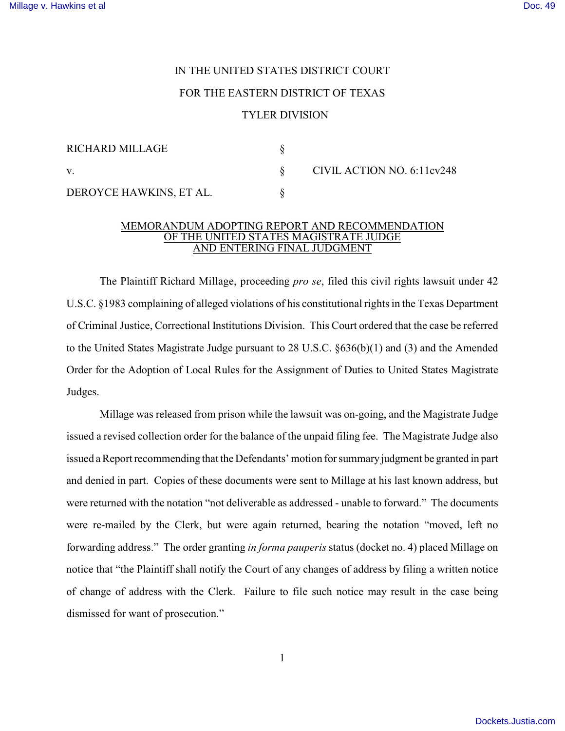## IN THE UNITED STATES DISTRICT COURT FOR THE EASTERN DISTRICT OF TEXAS TYLER DIVISION

| <b>RICHARD MILLAGE</b>  |                            |
|-------------------------|----------------------------|
| V.                      | CIVIL ACTION NO. 6:11cv248 |
| DEROYCE HAWKINS, ET AL. |                            |

## MEMORANDUM ADOPTING REPORT AND RECOMMENDATION OF THE UNITED STATES MAGISTRATE JUDGE AND ENTERING FINAL JUDGMENT

The Plaintiff Richard Millage, proceeding *pro se*, filed this civil rights lawsuit under 42 U.S.C. §1983 complaining of alleged violations of his constitutional rights in the Texas Department of Criminal Justice, Correctional Institutions Division. This Court ordered that the case be referred to the United States Magistrate Judge pursuant to 28 U.S.C. §636(b)(1) and (3) and the Amended Order for the Adoption of Local Rules for the Assignment of Duties to United States Magistrate Judges.

Millage was released from prison while the lawsuit was on-going, and the Magistrate Judge issued a revised collection order for the balance of the unpaid filing fee. The Magistrate Judge also issued a Report recommending that the Defendants' motion for summary judgment be granted in part and denied in part. Copies of these documents were sent to Millage at his last known address, but were returned with the notation "not deliverable as addressed - unable to forward." The documents were re-mailed by the Clerk, but were again returned, bearing the notation "moved, left no forwarding address." The order granting *in forma pauperis* status (docket no. 4) placed Millage on notice that "the Plaintiff shall notify the Court of any changes of address by filing a written notice of change of address with the Clerk. Failure to file such notice may result in the case being dismissed for want of prosecution."